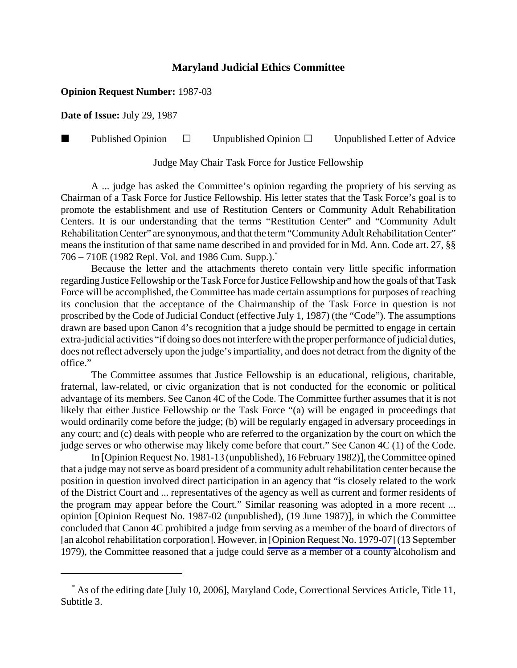## **Maryland Judicial Ethics Committee**

## **Opinion Request Number:** 1987-03

**Date of Issue:** July 29, 1987

**Published Opinion**  $\Box$  Unpublished Opinion  $\Box$  Unpublished Letter of Advice

Judge May Chair Task Force for Justice Fellowship

A ... judge has asked the Committee's opinion regarding the propriety of his serving as Chairman of a Task Force for Justice Fellowship. His letter states that the Task Force's goal is to promote the establishment and use of Restitution Centers or Community Adult Rehabilitation Centers. It is our understanding that the terms "Restitution Center" and "Community Adult Rehabilitation Center" are synonymous, and that the term "Community Adult Rehabilitation Center" means the institution of that same name described in and provided for in Md. Ann. Code art. 27, §§ 706 – 710E (1982 Repl. Vol. and 1986 Cum. Supp.).\*

Because the letter and the attachments thereto contain very little specific information regarding Justice Fellowship or the Task Force for Justice Fellowship and how the goals of that Task Force will be accomplished, the Committee has made certain assumptions for purposes of reaching its conclusion that the acceptance of the Chairmanship of the Task Force in question is not proscribed by the Code of Judicial Conduct (effective July 1, 1987) (the "Code"). The assumptions drawn are based upon Canon 4's recognition that a judge should be permitted to engage in certain extra-judicial activities "if doing so does not interfere with the proper performance of judicial duties, does not reflect adversely upon the judge's impartiality, and does not detract from the dignity of the office."

The Committee assumes that Justice Fellowship is an educational, religious, charitable, fraternal, law-related, or civic organization that is not conducted for the economic or political advantage of its members. See Canon 4C of the Code. The Committee further assumes that it is not likely that either Justice Fellowship or the Task Force "(a) will be engaged in proceedings that would ordinarily come before the judge; (b) will be regularly engaged in adversary proceedings in any court; and (c) deals with people who are referred to the organization by the court on which the judge serves or who otherwise may likely come before that court." See Canon 4C (1) of the Code.

In [Opinion Request No. 1981-13 (unpublished), 16 February 1982)], the Committee opined that a judge may not serve as board president of a community adult rehabilitation center because the position in question involved direct participation in an agency that "is closely related to the work of the District Court and ... representatives of the agency as well as current and former residents of the program may appear before the Court." Similar reasoning was adopted in a more recent ... opinion [Opinion Request No. 1987-02 (unpublished), (19 June 1987)], in which the Committee concluded that Canon 4C prohibited a judge from serving as a member of the board of directors of [an alcohol rehabilitation corporation]. However, in [\[Opinion Request No. 1979-07\]](http://www.mdcourts.gov/ethics/pdfs/1979-07.pdf) (13 September 1979), the Committee reasoned that a judge could serve as a member of a county alcoholism and

 <sup>\*</sup> As of the editing date [July 10, 2006], Maryland Code, Correctional Services Article, Title 11, Subtitle 3.